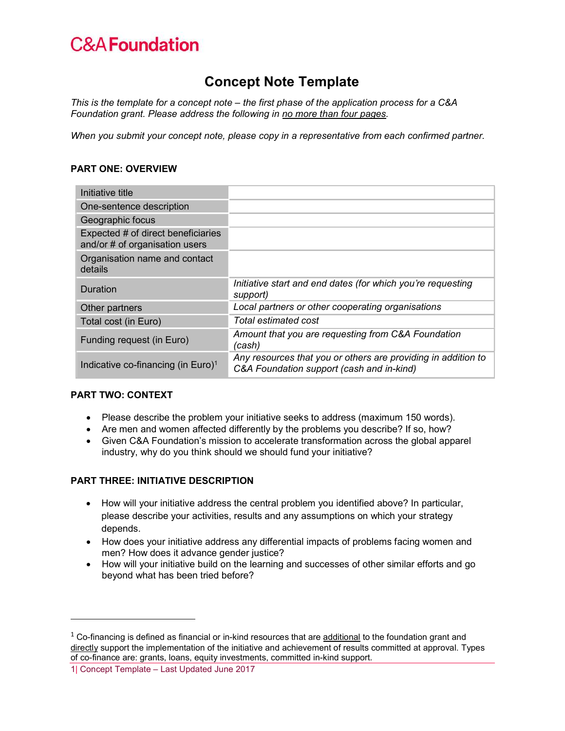## **C&A Foundation**

### Concept Note Template

This is the template for a concept note – the first phase of the application process for a C&A Foundation grant. Please address the following in no more than four pages.

When you submit your concept note, please copy in a representative from each confirmed partner.

#### PART ONE: OVERVIEW

| Initiative title                                                     |                                                                                                            |
|----------------------------------------------------------------------|------------------------------------------------------------------------------------------------------------|
| One-sentence description                                             |                                                                                                            |
| Geographic focus                                                     |                                                                                                            |
| Expected # of direct beneficiaries<br>and/or # of organisation users |                                                                                                            |
| Organisation name and contact<br>details                             |                                                                                                            |
| Duration                                                             | Initiative start and end dates (for which you're requesting<br>support)                                    |
| Other partners                                                       | Local partners or other cooperating organisations                                                          |
| Total cost (in Euro)                                                 | <b>Total estimated cost</b>                                                                                |
| Funding request (in Euro)                                            | Amount that you are requesting from C&A Foundation<br>(cash)                                               |
| Indicative co-financing (in Euro) <sup>1</sup>                       | Any resources that you or others are providing in addition to<br>C&A Foundation support (cash and in-kind) |

#### PART TWO: CONTEXT

l

- Please describe the problem your initiative seeks to address (maximum 150 words).
- Are men and women affected differently by the problems you describe? If so, how?
- Given C&A Foundation's mission to accelerate transformation across the global apparel industry, why do you think should we should fund your initiative?

#### PART THREE: INITIATIVE DESCRIPTION

- How will your initiative address the central problem you identified above? In particular, please describe your activities, results and any assumptions on which your strategy depends.
- How does your initiative address any differential impacts of problems facing women and men? How does it advance gender justice?
- How will your initiative build on the learning and successes of other similar efforts and go beyond what has been tried before?

1| Concept Template – Last Updated June 2017

 $1$  Co-financing is defined as financial or in-kind resources that are additional to the foundation grant and directly support the implementation of the initiative and achievement of results committed at approval. Types of co-finance are: grants, loans, equity investments, committed in-kind support.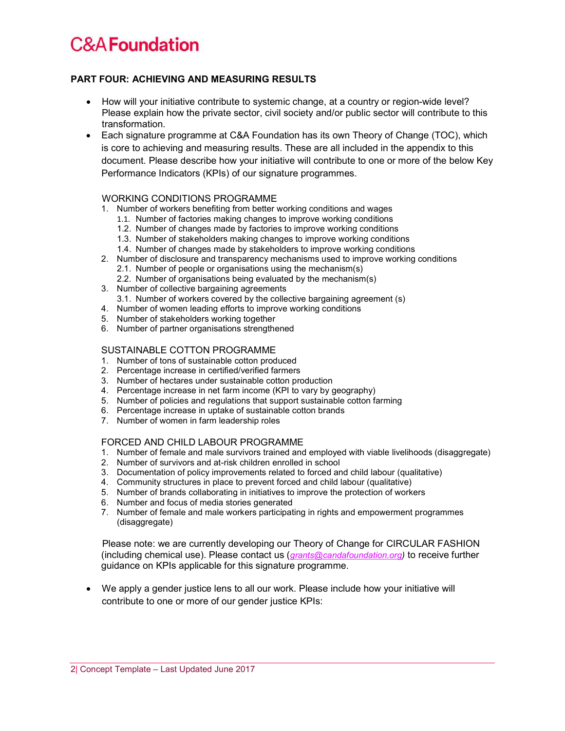## **C&A Foundation**

### PART FOUR: ACHIEVING AND MEASURING RESULTS

- How will your initiative contribute to systemic change, at a country or region-wide level? Please explain how the private sector, civil society and/or public sector will contribute to this transformation.
- Each signature programme at C&A Foundation has its own Theory of Change (TOC), which is core to achieving and measuring results. These are all included in the appendix to this document. Please describe how your initiative will contribute to one or more of the below Key Performance Indicators (KPIs) of our signature programmes.

#### WORKING CONDITIONS PROGRAMME

- 1. Number of workers benefiting from better working conditions and wages
	- 1.1. Number of factories making changes to improve working conditions
	- 1.2. Number of changes made by factories to improve working conditions
	- 1.3. Number of stakeholders making changes to improve working conditions
	- 1.4. Number of changes made by stakeholders to improve working conditions
- 2. Number of disclosure and transparency mechanisms used to improve working conditions 2.1. Number of people or organisations using the mechanism(s)
	- 2.2. Number of organisations being evaluated by the mechanism(s)
- 3. Number of collective bargaining agreements 3.1. Number of workers covered by the collective bargaining agreement (s)
- 4. Number of women leading efforts to improve working conditions
- 5. Number of stakeholders working together
- 6. Number of partner organisations strengthened

#### SUSTAINABLE COTTON PROGRAMME

- 1. Number of tons of sustainable cotton produced
- 2. Percentage increase in certified/verified farmers
- 3. Number of hectares under sustainable cotton production
- 4. Percentage increase in net farm income (KPI to vary by geography)
- 5. Number of policies and regulations that support sustainable cotton farming
- 6. Percentage increase in uptake of sustainable cotton brands
- 7. Number of women in farm leadership roles

#### FORCED AND CHILD LABOUR PROGRAMME

- 1. Number of female and male survivors trained and employed with viable livelihoods (disaggregate)
- 2. Number of survivors and at-risk children enrolled in school
- 3. Documentation of policy improvements related to forced and child labour (qualitative)
- 4. Community structures in place to prevent forced and child labour (qualitative)
- 5. Number of brands collaborating in initiatives to improve the protection of workers
- 6. Number and focus of media stories generated
- 7. Number of female and male workers participating in rights and empowerment programmes (disaggregate)

Please note: we are currently developing our Theory of Change for CIRCULAR FASHION (including chemical use). Please contact us (*grants@candafoundation.org*) to receive further guidance on KPIs applicable for this signature programme.

 We apply a gender justice lens to all our work. Please include how your initiative will contribute to one or more of our gender justice KPIs: